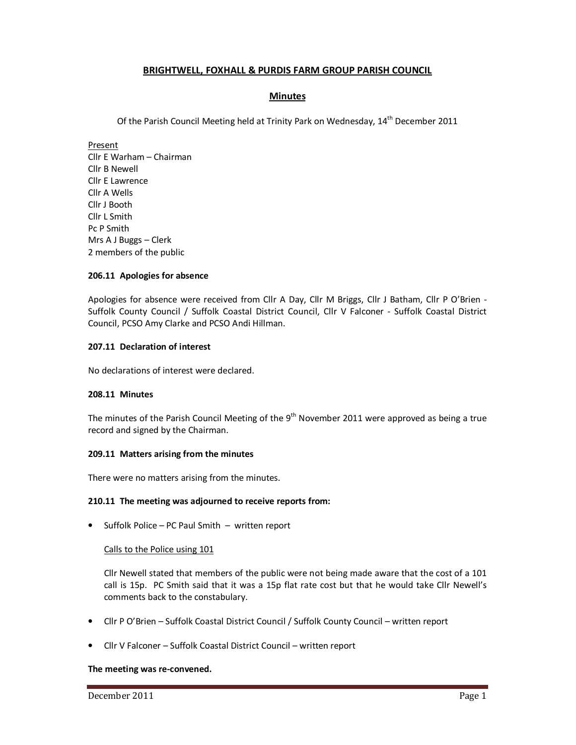# **BRIGHTWELL, FOXHALL & PURDIS FARM GROUP PARISH COUNCIL**

# **Minutes**

Of the Parish Council Meeting held at Trinity Park on Wednesday,  $14<sup>th</sup>$  December 2011

Present Cllr E Warham – Chairman Cllr B Newell Cllr E Lawrence Cllr A Wells Cllr J Booth Cllr L Smith Pc P Smith Mrs A J Buggs – Clerk 2 members of the public

#### **206.11 Apologies for absence**

Apologies for absence were received from Cllr A Day, Cllr M Briggs, Cllr J Batham, Cllr P O'Brien - Suffolk County Council / Suffolk Coastal District Council, Cllr V Falconer - Suffolk Coastal District Council, PCSO Amy Clarke and PCSO Andi Hillman.

## **207.11 Declaration of interest**

No declarations of interest were declared.

#### **208.11 Minutes**

The minutes of the Parish Council Meeting of the  $9<sup>th</sup>$  November 2011 were approved as being a true record and signed by the Chairman.

#### **209.11 Matters arising from the minutes**

There were no matters arising from the minutes.

#### **210.11 The meeting was adjourned to receive reports from:**

• Suffolk Police – PC Paul Smith – written report

#### Calls to the Police using 101

Cllr Newell stated that members of the public were not being made aware that the cost of a 101 call is 15p. PC Smith said that it was a 15p flat rate cost but that he would take Cllr Newell's comments back to the constabulary.

- Cllr P O'Brien Suffolk Coastal District Council / Suffolk County Council written report
- Cllr V Falconer Suffolk Coastal District Council written report

#### **The meeting was re-convened.**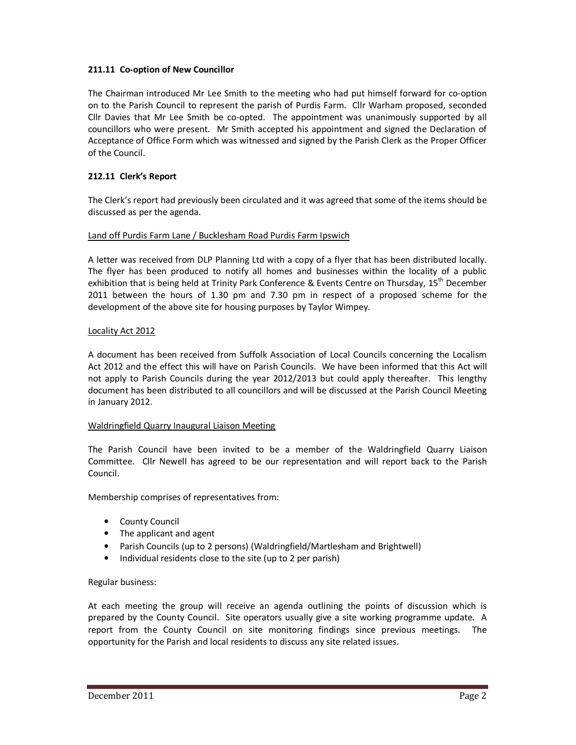# **211.11 Co-option of New Councillor**

The Chairman introduced Mr Lee Smith to the meeting who had put himself forward for co-option on to the Parish Council to represent the parish of Purdis Farm. Cllr Warham proposed, seconded Cllr Davies that Mr Lee Smith be co-opted. The appointment was unanimously supported by all councillors who were present. Mr Smith accepted his appointment and signed the Declaration of Acceptance of Office Form which was witnessed and signed by the Parish Clerk as the Proper Officer of the Council.

# **212.11 Clerk's Report**

The Clerk's report had previously been circulated and it was agreed that some of the items should be discussed as per the agenda.

# Land off Purdis Farm Lane / Bucklesham Road Purdis Farm Ipswich

A letter was received from DLP Planning Ltd with a copy of a flyer that has been distributed locally. The flyer has been produced to notify all homes and businesses within the locality of a public exhibition that is being held at Trinity Park Conference & Events Centre on Thursday,  $15^{th}$  December 2011 between the hours of 1.30 pm and 7.30 pm in respect of a proposed scheme for the development of the above site for housing purposes by Taylor Wimpey.

#### Locality Act 2012

A document has been received from Suffolk Association of Local Councils concerning the Localism Act 2012 and the effect this will have on Parish Councils. We have been informed that this Act will not apply to Parish Councils during the year 2012/2013 but could apply thereafter. This lengthy document has been distributed to all councillors and will be discussed at the Parish Council Meeting in January 2012.

# Waldringfield Quarry Inaugural Liaison Meeting

The Parish Council have been invited to be a member of the Waldringfield Quarry Liaison Committee. Cllr Newell has agreed to be our representation and will report back to the Parish Council.

Membership comprises of representatives from:

- County Council
- The applicant and agent
- Parish Councils (up to 2 persons) (Waldringfield/Martlesham and Brightwell)
- Individual residents close to the site (up to 2 per parish)

# Regular business:

At each meeting the group will receive an agenda outlining the points of discussion which is prepared by the County Council. Site operators usually give a site working programme update. A report from the County Council on site monitoring findings since previous meetings. The opportunity for the Parish and local residents to discuss any site related issues.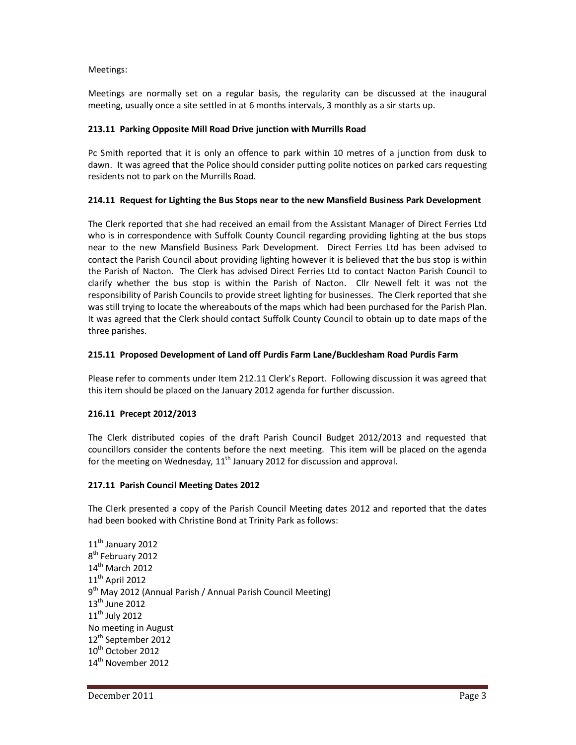### Meetings:

Meetings are normally set on a regular basis, the regularity can be discussed at the inaugural meeting, usually once a site settled in at 6 months intervals, 3 monthly as a sir starts up.

# **213.11 Parking Opposite Mill Road Drive junction with Murrills Road**

Pc Smith reported that it is only an offence to park within 10 metres of a junction from dusk to dawn. It was agreed that the Police should consider putting polite notices on parked cars requesting residents not to park on the Murrills Road.

# **214.11 Request for Lighting the Bus Stops near to the new Mansfield Business Park Development**

The Clerk reported that she had received an email from the Assistant Manager of Direct Ferries Ltd who is in correspondence with Suffolk County Council regarding providing lighting at the bus stops near to the new Mansfield Business Park Development. Direct Ferries Ltd has been advised to contact the Parish Council about providing lighting however it is believed that the bus stop is within the Parish of Nacton. The Clerk has advised Direct Ferries Ltd to contact Nacton Parish Council to clarify whether the bus stop is within the Parish of Nacton. Cllr Newell felt it was not the responsibility of Parish Councils to provide street lighting for businesses. The Clerk reported that she was still trying to locate the whereabouts of the maps which had been purchased for the Parish Plan. It was agreed that the Clerk should contact Suffolk County Council to obtain up to date maps of the three parishes.

# **215.11 Proposed Development of Land off Purdis Farm Lane/Bucklesham Road Purdis Farm**

Please refer to comments under Item 212.11 Clerk's Report. Following discussion it was agreed that this item should be placed on the January 2012 agenda for further discussion.

# **216.11 Precept 2012/2013**

The Clerk distributed copies of the draft Parish Council Budget 2012/2013 and requested that councillors consider the contents before the next meeting. This item will be placed on the agenda for the meeting on Wednesday,  $11<sup>th</sup>$  January 2012 for discussion and approval.

# **217.11 Parish Council Meeting Dates 2012**

The Clerk presented a copy of the Parish Council Meeting dates 2012 and reported that the dates had been booked with Christine Bond at Trinity Park as follows:

11<sup>th</sup> January 2012 8<sup>th</sup> February 2012 14<sup>th</sup> March 2012 11<sup>th</sup> April 2012 9<sup>th</sup> May 2012 (Annual Parish / Annual Parish Council Meeting) 13<sup>th</sup> June 2012  $11<sup>th</sup>$  July 2012 No meeting in August 12<sup>th</sup> September 2012 10<sup>th</sup> October 2012 14<sup>th</sup> November 2012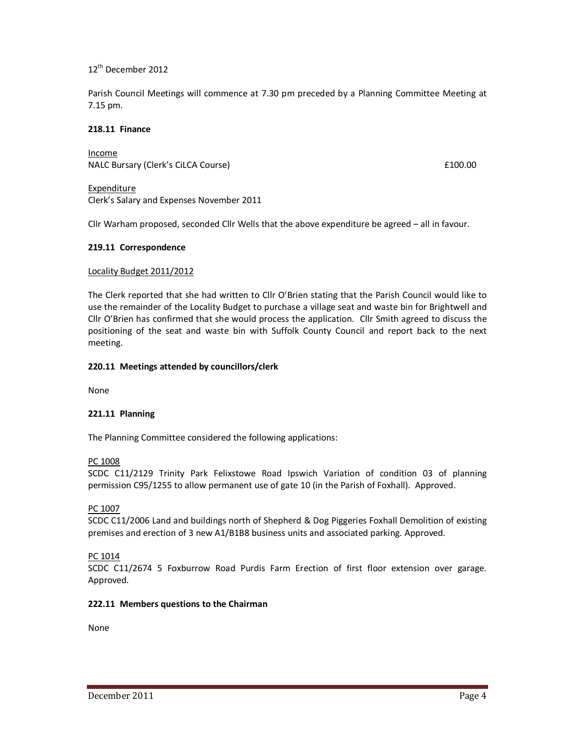12th December 2012

Parish Council Meetings will commence at 7.30 pm preceded by a Planning Committee Meeting at 7.15 pm.

### **218.11 Finance**

Income NALC Bursary (Clerk's CiLCA Course) **Example 2** and the set of the set of the set of the set of the set of the set of the set of the set of the set of the set of the set of the set of the set of the set of the set of the s

Expenditure Clerk's Salary and Expenses November 2011

Cllr Warham proposed, seconded Cllr Wells that the above expenditure be agreed – all in favour.

#### **219.11 Correspondence**

#### Locality Budget 2011/2012

The Clerk reported that she had written to Cllr O'Brien stating that the Parish Council would like to use the remainder of the Locality Budget to purchase a village seat and waste bin for Brightwell and Cllr O'Brien has confirmed that she would process the application. Cllr Smith agreed to discuss the positioning of the seat and waste bin with Suffolk County Council and report back to the next meeting.

#### **220.11 Meetings attended by councillors/clerk**

None

# **221.11 Planning**

The Planning Committee considered the following applications:

#### PC 1008

SCDC C11/2129 Trinity Park Felixstowe Road Ipswich Variation of condition 03 of planning permission C95/1255 to allow permanent use of gate 10 (in the Parish of Foxhall). Approved.

#### PC 1007

SCDC C11/2006 Land and buildings north of Shepherd & Dog Piggeries Foxhall Demolition of existing premises and erection of 3 new A1/B1B8 business units and associated parking. Approved.

# PC 1014

SCDC C11/2674 5 Foxburrow Road Purdis Farm Erection of first floor extension over garage. Approved.

# **222.11 Members questions to the Chairman**

None